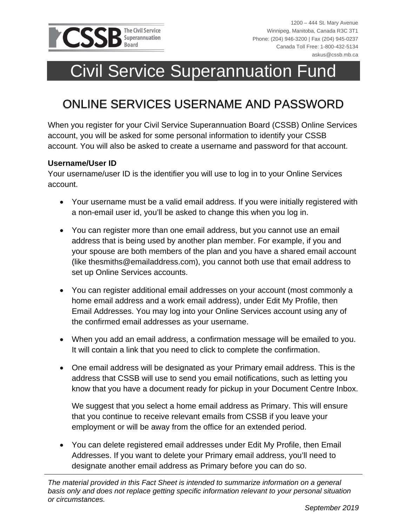

# Civil Service Superannuation Fund

## ONLINE SERVICES USERNAME AND PASSWORD

When you register for your Civil Service Superannuation Board (CSSB) Online Services account, you will be asked for some personal information to identify your CSSB account. You will also be asked to create a username and password for that account.

### **Username/User ID**

Your username/user ID is the identifier you will use to log in to your Online Services account.

- Your username must be a valid email address. If you were initially registered with a non-email user id, you'll be asked to change this when you log in.
- You can register more than one email address, but you cannot use an email address that is being used by another plan member. For example, if you and your spouse are both members of the plan and you have a shared email account (like thesmiths@emailaddress.com), you cannot both use that email address to set up Online Services accounts.
- You can register additional email addresses on your account (most commonly a home email address and a work email address), under Edit My Profile, then Email Addresses. You may log into your Online Services account using any of the confirmed email addresses as your username.
- When you add an email address, a confirmation message will be emailed to you. It will contain a link that you need to click to complete the confirmation.
- One email address will be designated as your Primary email address. This is the address that CSSB will use to send you email notifications, such as letting you know that you have a document ready for pickup in your Document Centre Inbox.

We suggest that you select a home email address as Primary. This will ensure that you continue to receive relevant emails from CSSB if you leave your employment or will be away from the office for an extended period.

 You can delete registered email addresses under Edit My Profile, then Email Addresses. If you want to delete your Primary email address, you'll need to designate another email address as Primary before you can do so.